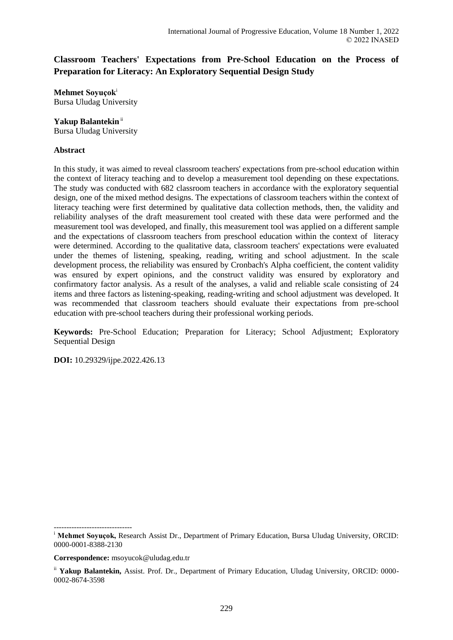# **Classroom Teachers' Expectations from Pre-School Education on the Process of Preparation for Literacy: An Exploratory Sequential Design Study**

**Mehmet Soyuçok**<sup>i</sup> Bursa Uludag University

## **Yakup Balantekin**ii

Bursa Uludag University

#### **Abstract**

In this study, it was aimed to reveal classroom teachers' expectations from pre-school education within the context of literacy teaching and to develop a measurement tool depending on these expectations. The study was conducted with 682 classroom teachers in accordance with the exploratory sequential design, one of the mixed method designs. The expectations of classroom teachers within the context of literacy teaching were first determined by qualitative data collection methods, then, the validity and reliability analyses of the draft measurement tool created with these data were performed and the measurement tool was developed, and finally, this measurement tool was applied on a different sample and the expectations of classroom teachers from preschool education within the context of literacy were determined. According to the qualitative data, classroom teachers' expectations were evaluated under the themes of listening, speaking, reading, writing and school adjustment. In the scale development process, the reliability was ensured by Cronbach's Alpha coefficient, the content validity was ensured by expert opinions, and the construct validity was ensured by exploratory and confirmatory factor analysis. As a result of the analyses, a valid and reliable scale consisting of 24 items and three factors as listening-speaking, reading-writing and school adjustment was developed. It was recommended that classroom teachers should evaluate their expectations from pre-school education with pre-school teachers during their professional working periods.

**Keywords:** Pre-School Education; Preparation for Literacy; School Adjustment; Exploratory Sequential Design

**DOI:** 10.29329/ijpe.2022.426.13

-------------------------------

<sup>i</sup> Mehmet Soyuçok, Research Assist Dr., Department of Primary Education, Bursa Uludag University, ORCID: 0000-0001-8388-2130

**Correspondence:** msoyucok@uludag.edu.tr

ii **Yakup Balantekin,** Assist. Prof. Dr., Department of Primary Education, Uludag University, ORCID: 0000- 0002-8674-3598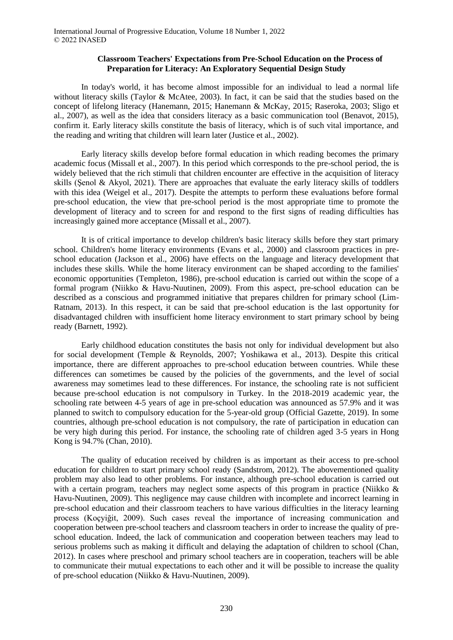#### **Classroom Teachers' Expectations from Pre-School Education on the Process of Preparation for Literacy: An Exploratory Sequential Design Study**

In today's world, it has become almost impossible for an individual to lead a normal life without literacy skills (Taylor & McAtee, 2003). In fact, it can be said that the studies based on the concept of lifelong literacy (Hanemann, 2015; Hanemann & McKay, 2015; Raseroka, 2003; Sligo et al., 2007), as well as the idea that considers literacy as a basic communication tool (Benavot, 2015), confirm it. Early literacy skills constitute the basis of literacy, which is of such vital importance, and the reading and writing that children will learn later (Justice et al., 2002).

Early literacy skills develop before formal education in which reading becomes the primary academic focus (Missall et al., 2007). In this period which corresponds to the pre-school period, the is widely believed that the rich stimuli that children encounter are effective in the acquisition of literacy skills (Şenol & Akyol, 2021). There are approaches that evaluate the early literacy skills of toddlers with this idea (Weigel et al., 2017). Despite the attempts to perform these evaluations before formal pre-school education, the view that pre-school period is the most appropriate time to promote the development of literacy and to screen for and respond to the first signs of reading difficulties has increasingly gained more acceptance (Missall et al., 2007).

It is of critical importance to develop children's basic literacy skills before they start primary school. Children's home literacy environments (Evans et al., 2000) and classroom practices in preschool education (Jackson et al., 2006) have effects on the language and literacy development that includes these skills. While the home literacy environment can be shaped according to the families' economic opportunities (Templeton, 1986), pre-school education is carried out within the scope of a formal program (Niikko & Havu-Nuutinen, 2009). From this aspect, pre-school education can be described as a conscious and programmed initiative that prepares children for primary school (Lim-Ratnam, 2013). In this respect, it can be said that pre-school education is the last opportunity for disadvantaged children with insufficient home literacy environment to start primary school by being ready (Barnett, 1992).

Early childhood education constitutes the basis not only for individual development but also for social development (Temple & Reynolds, 2007; Yoshikawa et al., 2013). Despite this critical importance, there are different approaches to pre-school education between countries. While these differences can sometimes be caused by the policies of the governments, and the level of social awareness may sometimes lead to these differences. For instance, the schooling rate is not sufficient because pre-school education is not compulsory in Turkey. In the 2018-2019 academic year, the schooling rate between 4-5 years of age in pre-school education was announced as 57.9% and it was planned to switch to compulsory education for the 5-year-old group (Official Gazette, 2019). In some countries, although pre-school education is not compulsory, the rate of participation in education can be very high during this period. For instance, the schooling rate of children aged 3-5 years in Hong Kong is 94.7% (Chan, 2010).

The quality of education received by children is as important as their access to pre-school education for children to start primary school ready (Sandstrom, 2012). The abovementioned quality problem may also lead to other problems. For instance, although pre-school education is carried out with a certain program, teachers may neglect some aspects of this program in practice (Niikko  $\&$ Havu-Nuutinen, 2009). This negligence may cause children with incomplete and incorrect learning in pre-school education and their classroom teachers to have various difficulties in the literacy learning process (Koçyiğit, 2009). Such cases reveal the importance of increasing communication and cooperation between pre-school teachers and classroom teachers in order to increase the quality of preschool education. Indeed, the lack of communication and cooperation between teachers may lead to serious problems such as making it difficult and delaying the adaptation of children to school (Chan, 2012). In cases where preschool and primary school teachers are in cooperation, teachers will be able to communicate their mutual expectations to each other and it will be possible to increase the quality of pre-school education (Niikko & Havu-Nuutinen, 2009).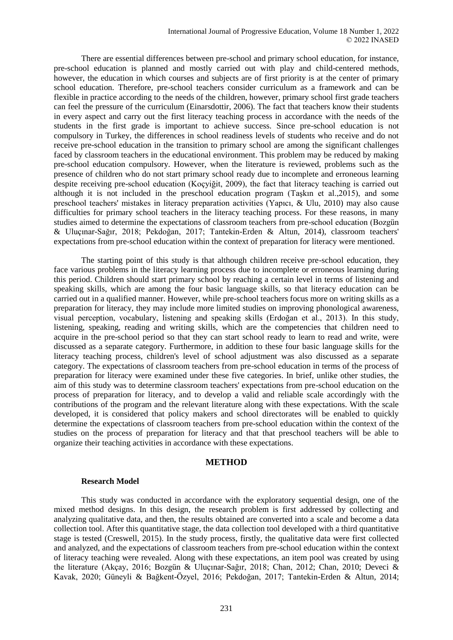There are essential differences between pre-school and primary school education, for instance, pre-school education is planned and mostly carried out with play and child-centered methods, however, the education in which courses and subjects are of first priority is at the center of primary school education. Therefore, pre-school teachers consider curriculum as a framework and can be flexible in practice according to the needs of the children, however, primary school first grade teachers can feel the pressure of the curriculum (Einarsdottir, 2006). The fact that teachers know their students in every aspect and carry out the first literacy teaching process in accordance with the needs of the students in the first grade is important to achieve success. Since pre-school education is not compulsory in Turkey, the differences in school readiness levels of students who receive and do not receive pre-school education in the transition to primary school are among the significant challenges faced by classroom teachers in the educational environment. This problem may be reduced by making pre-school education compulsory. However, when the literature is reviewed, problems such as the presence of children who do not start primary school ready due to incomplete and erroneous learning despite receiving pre-school education (Koçyiğit, 2009), the fact that literacy teaching is carried out although it is not included in the preschool education program (Taşkın et al.,2015), and some preschool teachers' mistakes in literacy preparation activities (Yapıcı, & Ulu, 2010) may also cause difficulties for primary school teachers in the literacy teaching process. For these reasons, in many studies aimed to determine the expectations of classroom teachers from pre-school education (Bozgün & Uluçınar-Sağır, 2018; Pekdoğan, 2017; Tantekin-Erden & Altun, 2014), classroom teachers' expectations from pre-school education within the context of preparation for literacy were mentioned.

The starting point of this study is that although children receive pre-school education, they face various problems in the literacy learning process due to incomplete or erroneous learning during this period. Children should start primary school by reaching a certain level in terms of listening and speaking skills, which are among the four basic language skills, so that literacy education can be carried out in a qualified manner. However, while pre-school teachers focus more on writing skills as a preparation for literacy, they may include more limited studies on improving phonological awareness, visual perception, vocabulary, listening and speaking skills (Erdoğan et al., 2013). In this study, listening, speaking, reading and writing skills, which are the competencies that children need to acquire in the pre-school period so that they can start school ready to learn to read and write, were discussed as a separate category. Furthermore, in addition to these four basic language skills for the literacy teaching process, children's level of school adjustment was also discussed as a separate category. The expectations of classroom teachers from pre-school education in terms of the process of preparation for literacy were examined under these five categories. In brief, unlike other studies, the aim of this study was to determine classroom teachers' expectations from pre-school education on the process of preparation for literacy, and to develop a valid and reliable scale accordingly with the contributions of the program and the relevant literature along with these expectations. With the scale developed, it is considered that policy makers and school directorates will be enabled to quickly determine the expectations of classroom teachers from pre-school education within the context of the studies on the process of preparation for literacy and that that preschool teachers will be able to organize their teaching activities in accordance with these expectations.

#### **METHOD**

#### **Research Model**

This study was conducted in accordance with the exploratory sequential design, one of the mixed method designs. In this design, the research problem is first addressed by collecting and analyzing qualitative data, and then, the results obtained are converted into a scale and become a data collection tool. After this quantitative stage, the data collection tool developed with a third quantitative stage is tested (Creswell, 2015). In the study process, firstly, the qualitative data were first collected and analyzed, and the expectations of classroom teachers from pre-school education within the context of literacy teaching were revealed. Along with these expectations, an item pool was created by using the literature (Akçay, 2016; Bozgün & Uluçınar-Sağır, 2018; Chan, 2012; Chan, 2010; Deveci & Kavak, 2020; Güneyli & Bağkent-Özyel, 2016; Pekdoğan, 2017; Tantekin-Erden & Altun, 2014;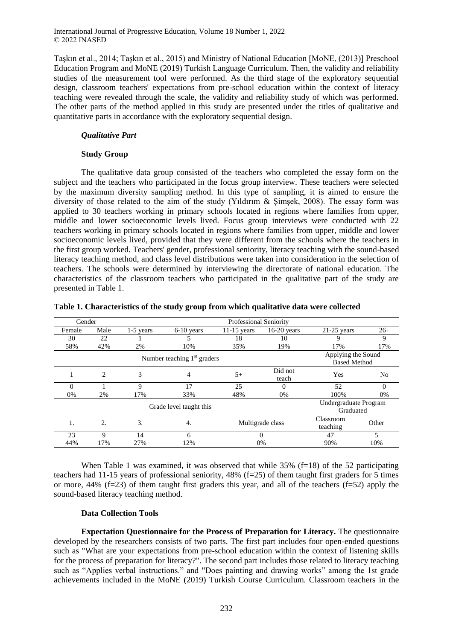Taşkın et al., 2014; Taşkın et al., 2015) and Ministry of National Education [MoNE, (2013)] Preschool Education Program and MoNE (2019) Turkish Language Curriculum. Then, the validity and reliability studies of the measurement tool were performed. As the third stage of the exploratory sequential design, classroom teachers' expectations from pre-school education within the context of literacy teaching were revealed through the scale, the validity and reliability study of which was performed. The other parts of the method applied in this study are presented under the titles of qualitative and quantitative parts in accordance with the exploratory sequential design.

### *Qualitative Part*

#### **Study Group**

The qualitative data group consisted of the teachers who completed the essay form on the subject and the teachers who participated in the focus group interview. These teachers were selected by the maximum diversity sampling method. In this type of sampling, it is aimed to ensure the diversity of those related to the aim of the study (Yıldırım & Şimşek, 2008). The essay form was applied to 30 teachers working in primary schools located in regions where families from upper, middle and lower socioeconomic levels lived. Focus group interviews were conducted with 22 teachers working in primary schools located in regions where families from upper, middle and lower socioeconomic levels lived, provided that they were different from the schools where the teachers in the first group worked. Teachers' gender, professional seniority, literacy teaching with the sound-based literacy teaching method, and class level distributions were taken into consideration in the selection of teachers. The schools were determined by interviewing the directorate of national education. The characteristics of the classroom teachers who participated in the qualitative part of the study are presented in Table 1.

| Gender |                | <b>Professional Seniority</b> |                               |               |                  |                                           |          |
|--------|----------------|-------------------------------|-------------------------------|---------------|------------------|-------------------------------------------|----------|
| Female | Male           | $1-5$ vears                   | $6-10$ vears                  | $11-15$ vears | $16-20$ vears    | $21-25$ years                             | $26+$    |
| 30     | 22             |                               |                               | 18            | 10               | 9                                         | 9        |
| 58%    | 42%            | 2%                            | 10%                           | 35%           | 19%              | 17%                                       | 17%      |
|        |                |                               | Number teaching $1st$ graders |               |                  | Applying the Sound<br><b>Based Method</b> |          |
|        | $\overline{c}$ | 3                             | 4                             | $5+$          | Did not<br>teach | Yes                                       | No       |
| 0      |                | 9                             | 17                            | 25            | $\Omega$         | 52                                        | $\Omega$ |
| 0%     | 2%             | 17%                           | 33%                           | 48%           | 0%               | 100%                                      | 0%       |
|        |                |                               | Grade level taught this       |               |                  | Undergraduate Program<br>Graduated        |          |
| 1.     | 2.             | 3.                            | 4.                            |               | Multigrade class | Classroom<br>teaching                     | Other    |
| 23     | 9              | 14                            | 6                             |               |                  |                                           | 5        |
| 44%    | 17%            | 27%                           | 12%                           |               | 0%               |                                           | 10%      |

|  |  | Table 1. Characteristics of the study group from which qualitative data were collected |  |
|--|--|----------------------------------------------------------------------------------------|--|
|  |  |                                                                                        |  |

When Table 1 was examined, it was observed that while  $35\%$  (f=18) of the 52 participating teachers had 11-15 years of professional seniority, 48% (f=25) of them taught first graders for 5 times or more, 44% ( $f=23$ ) of them taught first graders this year, and all of the teachers ( $f=52$ ) apply the sound-based literacy teaching method.

#### **Data Collection Tools**

**Expectation Questionnaire for the Process of Preparation for Literacy.** The questionnaire developed by the researchers consists of two parts. The first part includes four open-ended questions such as "What are your expectations from pre-school education within the context of listening skills for the process of preparation for literacy?". The second part includes those related to literacy teaching such as "Applies verbal instructions." and "Does painting and drawing works" among the 1st grade achievements included in the MoNE (2019) Turkish Course Curriculum. Classroom teachers in the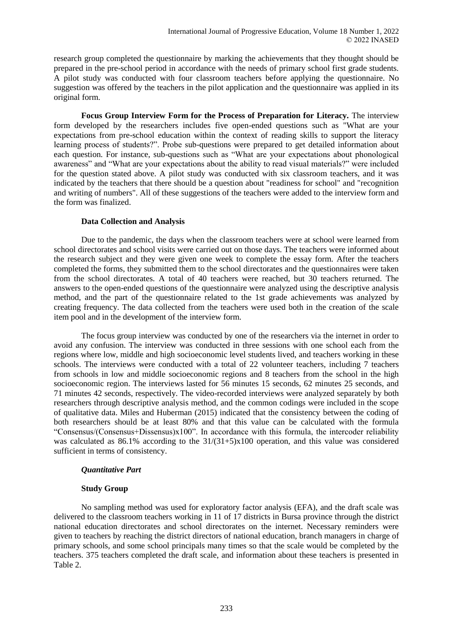research group completed the questionnaire by marking the achievements that they thought should be prepared in the pre-school period in accordance with the needs of primary school first grade students. A pilot study was conducted with four classroom teachers before applying the questionnaire. No suggestion was offered by the teachers in the pilot application and the questionnaire was applied in its original form.

**Focus Group Interview Form for the Process of Preparation for Literacy.** The interview form developed by the researchers includes five open-ended questions such as "What are your expectations from pre-school education within the context of reading skills to support the literacy learning process of students?". Probe sub-questions were prepared to get detailed information about each question. For instance, sub-questions such as "What are your expectations about phonological awareness" and "What are your expectations about the ability to read visual materials?" were included for the question stated above. A pilot study was conducted with six classroom teachers, and it was indicated by the teachers that there should be a question about "readiness for school" and "recognition and writing of numbers". All of these suggestions of the teachers were added to the interview form and the form was finalized.

### **Data Collection and Analysis**

Due to the pandemic, the days when the classroom teachers were at school were learned from school directorates and school visits were carried out on those days. The teachers were informed about the research subject and they were given one week to complete the essay form. After the teachers completed the forms, they submitted them to the school directorates and the questionnaires were taken from the school directorates. A total of 40 teachers were reached, but 30 teachers returned. The answers to the open-ended questions of the questionnaire were analyzed using the descriptive analysis method, and the part of the questionnaire related to the 1st grade achievements was analyzed by creating frequency. The data collected from the teachers were used both in the creation of the scale item pool and in the development of the interview form.

The focus group interview was conducted by one of the researchers via the internet in order to avoid any confusion. The interview was conducted in three sessions with one school each from the regions where low, middle and high socioeconomic level students lived, and teachers working in these schools. The interviews were conducted with a total of 22 volunteer teachers, including 7 teachers from schools in low and middle socioeconomic regions and 8 teachers from the school in the high socioeconomic region. The interviews lasted for 56 minutes 15 seconds, 62 minutes 25 seconds, and 71 minutes 42 seconds, respectively. The video-recorded interviews were analyzed separately by both researchers through descriptive analysis method, and the common codings were included in the scope of qualitative data. Miles and Huberman (2015) indicated that the consistency between the coding of both researchers should be at least 80% and that this value can be calculated with the formula "Consensus/(Consensus+Dissensus)x100". In accordance with this formula, the intercoder reliability was calculated as 86.1% according to the 31/(31+5)x100 operation, and this value was considered sufficient in terms of consistency.

#### *Quantitative Part*

#### **Study Group**

No sampling method was used for exploratory factor analysis (EFA), and the draft scale was delivered to the classroom teachers working in 11 of 17 districts in Bursa province through the district national education directorates and school directorates on the internet. Necessary reminders were given to teachers by reaching the district directors of national education, branch managers in charge of primary schools, and some school principals many times so that the scale would be completed by the teachers. 375 teachers completed the draft scale, and information about these teachers is presented in Table 2.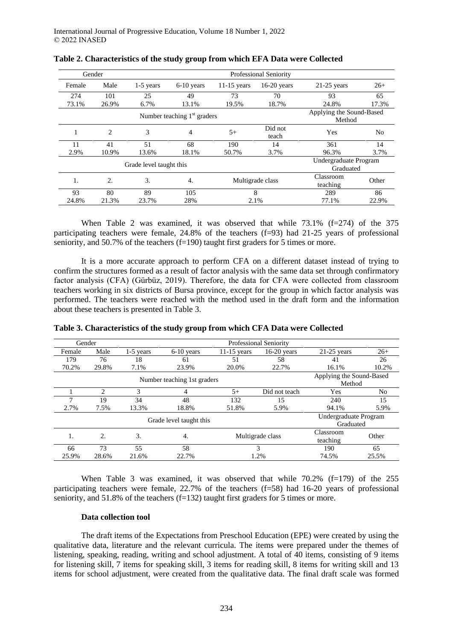|        | Gender                        | <b>Professional Seniority</b> |              |                  |                                    |                                    |                |
|--------|-------------------------------|-------------------------------|--------------|------------------|------------------------------------|------------------------------------|----------------|
| Female | Male                          | 1-5 years                     | $6-10$ years | $11-15$ years    | $16-20$ years                      | $21-25$ years                      | $26+$          |
| 274    | 101                           | 25                            | 49           | 73               | 70                                 | 93                                 | 65             |
| 73.1%  | 26.9%                         | 6.7%                          | 13.1%        | 19.5%            | 18.7%                              | 24.8%                              | 17.3%          |
|        | Number teaching $1st$ graders |                               |              |                  | Applying the Sound-Based<br>Method |                                    |                |
|        | 2                             | 3                             | 4            | $5+$             | Did not<br>teach                   | Yes                                | N <sub>0</sub> |
| 11     | 41                            | 51                            | 68           | 190              | 14                                 | 361                                | 14             |
| 2.9%   | 10.9%                         | 13.6%                         | 18.1%        | 50.7%            | 3.7%                               | 96.3%                              | 3.7%           |
|        |                               | Grade level taught this       |              |                  |                                    | Undergraduate Program<br>Graduated |                |
| 1.     | 2.                            | 3.                            | 4.           | Multigrade class |                                    | Classroom<br>teaching              | Other          |
| 93     | 80                            | 89                            | 105          | 8                |                                    | 289                                | 86             |
| 24.8%  | 21.3%                         | 23.7%                         | 28%          | 2.1%             |                                    | 77.1%                              | 22.9%          |

| Table 2. Characteristics of the study group from which EFA Data were Collected |  |
|--------------------------------------------------------------------------------|--|
|--------------------------------------------------------------------------------|--|

When Table 2 was examined, it was observed that while  $73.1\%$  (f=274) of the 375 participating teachers were female, 24.8% of the teachers (f=93) had 21-25 years of professional seniority, and 50.7% of the teachers (f=190) taught first graders for 5 times or more.

It is a more accurate approach to perform CFA on a different dataset instead of trying to confirm the structures formed as a result of factor analysis with the same data set through confirmatory factor analysis (CFA) (Gürbüz, 2019). Therefore, the data for CFA were collected from classroom teachers working in six districts of Bursa province, except for the group in which factor analysis was performed. The teachers were reached with the method used in the draft form and the information about these teachers is presented in Table 3.

| <b>Professional Seniority</b><br>Gender |       |             |                         |                                    |                  |                                    |       |
|-----------------------------------------|-------|-------------|-------------------------|------------------------------------|------------------|------------------------------------|-------|
| Female                                  | Male  | $1-5$ years | $6-10$ years            | $11-15$ years                      | $16-20$ years    | $21-25$ years                      | $26+$ |
| 179                                     | 76    | 18          | 61                      | 51                                 | 58               | 41                                 | 26    |
| 70.2%                                   | 29.8% | 7.1%        | 23.9%                   | 20.0%                              | 22.7%            | 16.1%                              | 10.2% |
| Number teaching 1st graders             |       |             |                         | Applying the Sound-Based<br>Method |                  |                                    |       |
|                                         | 2     | 3           | 4                       | $5+$                               | Did not teach    | Yes                                | No    |
|                                         | 19    | 34          | 48                      | 132                                | 15               | 240                                | 15    |
| 2.7%                                    | 7.5%  | 13.3%       | 18.8%                   | 51.8%                              | 5.9%             | 94.1%                              | 5.9%  |
|                                         |       |             | Grade level taught this |                                    |                  | Undergraduate Program<br>Graduated |       |
| Ι.                                      | 2.    | 3.          | 4.                      |                                    | Multigrade class | Classroom<br>teaching              | Other |
| 66                                      | 73    | 55          | 58                      | 3                                  |                  | 190                                | 65    |
| 25.9%                                   | 28.6% | 21.6%       | 22.7%                   | 1.2%                               |                  | 74.5%                              | 25.5% |

**Table 3. Characteristics of the study group from which CFA Data were Collected**

When Table 3 was examined, it was observed that while  $70.2\%$  ( $f=179$ ) of the 255 participating teachers were female, 22.7% of the teachers (f=58) had 16-20 years of professional seniority, and 51.8% of the teachers (f=132) taught first graders for 5 times or more.

#### **Data collection tool**

The draft items of the Expectations from Preschool Education (EPE) were created by using the qualitative data, literature and the relevant curricula. The items were prepared under the themes of listening, speaking, reading, writing and school adjustment. A total of 40 items, consisting of 9 items for listening skill, 7 items for speaking skill, 3 items for reading skill, 8 items for writing skill and 13 items for school adjustment, were created from the qualitative data. The final draft scale was formed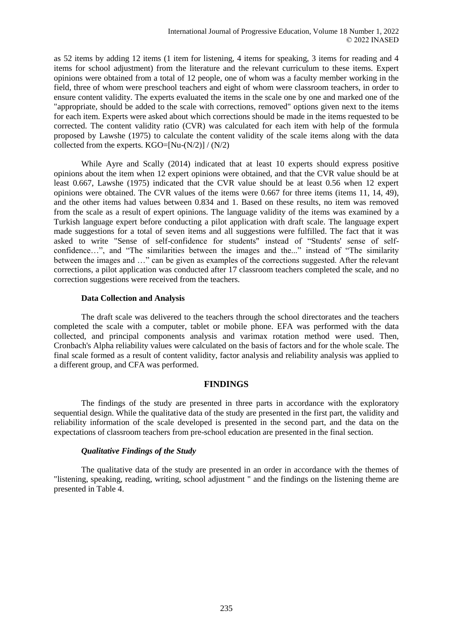as 52 items by adding 12 items (1 item for listening, 4 items for speaking, 3 items for reading and 4 items for school adjustment) from the literature and the relevant curriculum to these items. Expert opinions were obtained from a total of 12 people, one of whom was a faculty member working in the field, three of whom were preschool teachers and eight of whom were classroom teachers, in order to ensure content validity. The experts evaluated the items in the scale one by one and marked one of the "appropriate, should be added to the scale with corrections, removed" options given next to the items for each item. Experts were asked about which corrections should be made in the items requested to be corrected. The content validity ratio (CVR) was calculated for each item with help of the formula proposed by Lawshe (1975) to calculate the content validity of the scale items along with the data collected from the experts.  $KGO=[Nu-(N/2)] / (N/2)$ 

While Ayre and Scally (2014) indicated that at least 10 experts should express positive opinions about the item when 12 expert opinions were obtained, and that the CVR value should be at least 0.667, Lawshe (1975) indicated that the CVR value should be at least 0.56 when 12 expert opinions were obtained. The CVR values of the items were 0.667 for three items (items 11, 14, 49), and the other items had values between 0.834 and 1. Based on these results, no item was removed from the scale as a result of expert opinions. The language validity of the items was examined by a Turkish language expert before conducting a pilot application with draft scale. The language expert made suggestions for a total of seven items and all suggestions were fulfilled. The fact that it was asked to write "Sense of self-confidence for students" instead of "Students' sense of selfconfidence…", and "The similarities between the images and the..." instead of "The similarity between the images and …" can be given as examples of the corrections suggested. After the relevant corrections, a pilot application was conducted after 17 classroom teachers completed the scale, and no correction suggestions were received from the teachers.

#### **Data Collection and Analysis**

The draft scale was delivered to the teachers through the school directorates and the teachers completed the scale with a computer, tablet or mobile phone. EFA was performed with the data collected, and principal components analysis and varimax rotation method were used. Then, Cronbach's Alpha reliability values were calculated on the basis of factors and for the whole scale. The final scale formed as a result of content validity, factor analysis and reliability analysis was applied to a different group, and CFA was performed.

#### **FINDINGS**

The findings of the study are presented in three parts in accordance with the exploratory sequential design. While the qualitative data of the study are presented in the first part, the validity and reliability information of the scale developed is presented in the second part, and the data on the expectations of classroom teachers from pre-school education are presented in the final section.

#### *Qualitative Findings of the Study*

The qualitative data of the study are presented in an order in accordance with the themes of "listening, speaking, reading, writing, school adjustment " and the findings on the listening theme are presented in Table 4.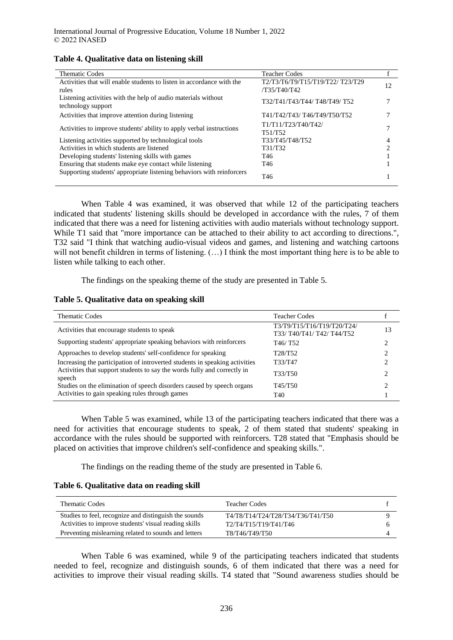| <b>Thematic Codes</b>                                                               | <b>Teacher Codes</b>             |    |
|-------------------------------------------------------------------------------------|----------------------------------|----|
| Activities that will enable students to listen in accordance with the               | Т2/Т3/Т6/Т9/Т15/Т19/Т22/ Т23/Т29 | 12 |
| rules                                                                               | /T35/T40/T42                     |    |
| Listening activities with the help of audio materials without<br>technology support | T32/T41/T43/T44/ T48/T49/ T52    |    |
| Activities that improve attention during listening                                  | T41/T42/T43/T46/T49/T50/T52      |    |
| Activities to improve students' ability to apply verbal instructions                | T1/T11/T23/T40/T42/<br>T51/T52   |    |
| Listening activities supported by technological tools                               | T33/T45/T48/T52                  | 4  |
| Activities in which students are listened                                           | T31/T32                          |    |
| Developing students' listening skills with games                                    | T46                              |    |
| Ensuring that students make eye contact while listening                             | T46                              |    |
| Supporting students' appropriate listening behaviors with reinforcers               | T <sub>46</sub>                  |    |

### **Table 4. Qualitative data on listening skill**

When Table 4 was examined, it was observed that while 12 of the participating teachers indicated that students' listening skills should be developed in accordance with the rules, 7 of them indicated that there was a need for listening activities with audio materials without technology support. While T1 said that "more importance can be attached to their ability to act according to directions.", T32 said "I think that watching audio-visual videos and games, and listening and watching cartoons will not benefit children in terms of listening. (...) I think the most important thing here is to be able to listen while talking to each other.

The findings on the speaking theme of the study are presented in Table 5.

#### **Table 5. Qualitative data on speaking skill**

| <b>Thematic Codes</b><br><b>Teacher Codes</b>                                                              |
|------------------------------------------------------------------------------------------------------------|
| T3/T9/T15/T16/T19/T20/T24/<br>Activities that encourage students to speak<br>13<br>T33/T40/T41/T42/T44/T52 |
| Supporting students' appropriate speaking behaviors with reinforcers<br>T <sub>46</sub> /T <sub>52</sub>   |
| Approaches to develop students' self-confidence for speaking<br>T <sub>28</sub> /T <sub>52</sub>           |
| Increasing the participation of introverted students in speaking activities<br>T33/T47                     |
| Activities that support students to say the words fully and correctly in<br>T33/T50<br>speech              |
| Studies on the elimination of speech disorders caused by speech organs<br>T45/T50                          |
| Activities to gain speaking rules through games<br>T40                                                     |

When Table 5 was examined, while 13 of the participating teachers indicated that there was a need for activities that encourage students to speak, 2 of them stated that students' speaking in accordance with the rules should be supported with reinforcers. T28 stated that "Emphasis should be placed on activities that improve children's self-confidence and speaking skills.".

The findings on the reading theme of the study are presented in Table 6.

#### **Table 6. Qualitative data on reading skill**

| <b>Thematic Codes</b>                                 | <b>Teacher Codes</b>              |  |
|-------------------------------------------------------|-----------------------------------|--|
| Studies to feel, recognize and distinguish the sounds | T4/T8/T14/T24/T28/T34/T36/T41/T50 |  |
| Activities to improve students' visual reading skills | T2/T4/T15/T19/T41/T46             |  |
| Preventing mislearning related to sounds and letters  | T8/T46/T49/T50                    |  |

When Table 6 was examined, while 9 of the participating teachers indicated that students needed to feel, recognize and distinguish sounds, 6 of them indicated that there was a need for activities to improve their visual reading skills. T4 stated that "Sound awareness studies should be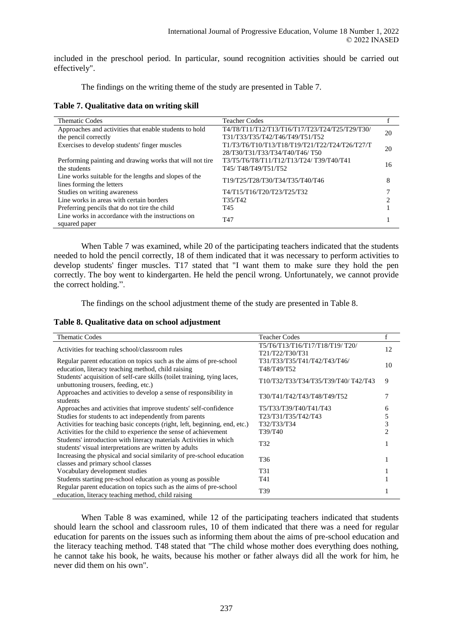included in the preschool period. In particular, sound recognition activities should be carried out effectively".

The findings on the writing theme of the study are presented in Table 7.

**Table 7. Qualitative data on writing skill**

| <b>Thematic Codes</b>                                    | <b>Teacher Codes</b>                           |    |
|----------------------------------------------------------|------------------------------------------------|----|
| Approaches and activities that enable students to hold   | T4/T8/T11/T12/T13/T16/T17/T23/T24/T25/T29/T30/ | 20 |
| the pencil correctly                                     | T31/T33/T35/T42/T46/T49/T51/T52                |    |
| Exercises to develop students' finger muscles            | T1/T3/T6/T10/T13/T18/T19/T21/T22/T24/T26/T27/T | 20 |
|                                                          | 28/T30/T31/T33/T34/T40/T46/T50                 |    |
| Performing painting and drawing works that will not tire | T3/T5/T6/T8/T11/T12/T13/T24/T39/T40/T41        | 16 |
| the students                                             | T45/T48/T49/T51/T52                            |    |
| Line works suitable for the lengths and slopes of the    | T19/T25/T28/T30/T34/T35/T40/T46                | 8  |
| lines forming the letters                                |                                                |    |
| Studies on writing awareness                             | T4/T15/T16/T20/T23/T25/T32                     |    |
| Line works in areas with certain borders                 | T35/T42                                        |    |
| Preferring pencils that do not tire the child            | T45                                            |    |
| Line works in accordance with the instructions on        | T <sub>47</sub>                                |    |
| squared paper                                            |                                                |    |

When Table 7 was examined, while 20 of the participating teachers indicated that the students needed to hold the pencil correctly, 18 of them indicated that it was necessary to perform activities to develop students' finger muscles. T17 stated that "I want them to make sure they hold the pen correctly. The boy went to kindergarten. He held the pencil wrong. Unfortunately, we cannot provide the correct holding.".

The findings on the school adjustment theme of the study are presented in Table 8.

**Table 8. Qualitative data on school adjustment**

| <b>Thematic Codes</b>                                                                                                        | <b>Teacher Codes</b>                               |    |
|------------------------------------------------------------------------------------------------------------------------------|----------------------------------------------------|----|
| Activities for teaching school/classroom rules                                                                               | T5/T6/T13/T16/T17/T18/T19/ T20/<br>T21/T22/T30/T31 | 12 |
| Regular parent education on topics such as the aims of pre-school<br>education, literacy teaching method, child raising      | T31/T33/T35/T41/T42/T43/T46/<br>T48/T49/T52        | 10 |
| Students' acquisition of self-care skills (toilet training, tying laces,<br>unbuttoning trousers, feeding, etc.)             | T10/T32/T33/T34/T35/T39/T40/ T42/T43               | 9  |
| Approaches and activities to develop a sense of responsibility in<br>students                                                | ТЗ0/Т41/Т42/Т43/Т48/Т49/Т52                        |    |
| Approaches and activities that improve students' self-confidence                                                             | Т5/Т33/Т39/Т40/Т41/Т43                             |    |
| Studies for students to act independently from parents                                                                       | T23/T31/T35/T42/T43                                |    |
| Activities for teaching basic concepts (right, left, beginning, end, etc.)                                                   | T32/T33/T34                                        | 3  |
| Activities for the child to experience the sense of achievement                                                              | T39/T40                                            |    |
| Students' introduction with literacy materials Activities in which<br>students' visual interpretations are written by adults | T32                                                |    |
| Increasing the physical and social similarity of pre-school education<br>classes and primary school classes                  | T36                                                |    |
| Vocabulary development studies                                                                                               | T31                                                |    |
| Students starting pre-school education as young as possible                                                                  | T41                                                |    |
| Regular parent education on topics such as the aims of pre-school<br>education, literacy teaching method, child raising      | T39                                                |    |

When Table 8 was examined, while 12 of the participating teachers indicated that students should learn the school and classroom rules, 10 of them indicated that there was a need for regular education for parents on the issues such as informing them about the aims of pre-school education and the literacy teaching method. T48 stated that "The child whose mother does everything does nothing, he cannot take his book, he waits, because his mother or father always did all the work for him, he never did them on his own".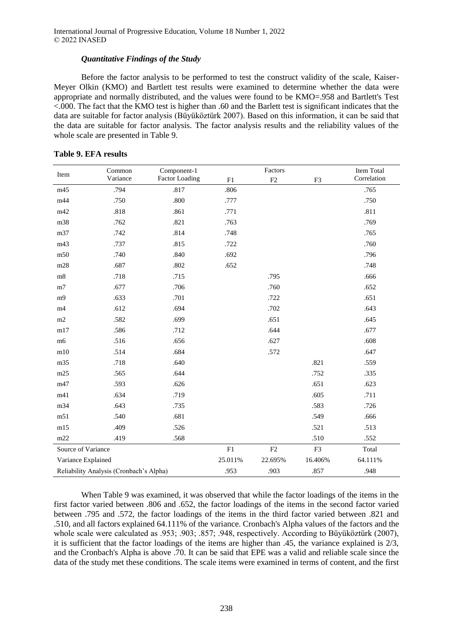### *Quantitative Findings of the Study*

Before the factor analysis to be performed to test the construct validity of the scale, Kaiser-Meyer Olkin (KMO) and Bartlett test results were examined to determine whether the data were appropriate and normally distributed, and the values were found to be KMO=.958 and Bartlett's Test  $\leq$ .000. The fact that the KMO test is higher than .60 and the Barlett test is significant indicates that the data are suitable for factor analysis (Büyüköztürk 2007). Based on this information, it can be said that the data are suitable for factor analysis. The factor analysis results and the reliability values of the whole scale are presented in Table 9.

| Item                                    | Common   | Component-1           |            | Factors    |         | Item Total  |
|-----------------------------------------|----------|-----------------------|------------|------------|---------|-------------|
|                                         | Variance | <b>Factor Loading</b> | F1         | F2         | F3      | Correlation |
| m45                                     | .794     | .817                  | .806       |            |         | .765        |
| m44                                     | .750     | .800                  | .777       |            |         | .750        |
| m42                                     | .818     | .861                  | .771       |            |         | .811        |
| m38                                     | .762     | .821                  | .763       |            |         | .769        |
| m37                                     | .742     | .814                  | .748       |            |         | .765        |
| m43                                     | .737     | .815                  | .722       |            |         | .760        |
| m50                                     | .740     | .840                  | .692       |            |         | .796        |
| m28                                     | .687     | .802                  | .652       |            |         | .748        |
| m8                                      | .718     | .715                  |            | .795       |         | .666        |
| m <sub>7</sub>                          | .677     | .706                  |            | .760       |         | .652        |
| m <sub>9</sub>                          | .633     | .701                  |            | .722       |         | .651        |
| m4                                      | .612     | .694                  |            | .702       |         | .643        |
| $\rm m2$                                | .582     | .699                  |            | .651       |         | .645        |
| m17                                     | .586     | .712                  |            | .644       |         | .677        |
| m6                                      | .516     | .656                  |            | .627       |         | .608        |
| m10                                     | .514     | .684                  |            | .572       |         | .647        |
| m35                                     | .718     | .640                  |            |            | .821    | .559        |
| m25                                     | .565     | .644                  |            |            | .752    | .335        |
| m47                                     | .593     | .626                  |            |            | .651    | .623        |
| m41                                     | .634     | .719                  |            |            | .605    | .711        |
| m34                                     | .643     | .735                  |            |            | .583    | .726        |
| m51                                     | .540     | .681                  |            |            | .549    | .666        |
| m15                                     | .409     | .526                  |            |            | .521    | .513        |
| m22                                     | .419     | .568                  |            |            | .510    | .552        |
| Source of Variance                      |          |                       | ${\rm F}1$ | ${\rm F2}$ | F3      | Total       |
| Variance Explained                      |          |                       | 25.011%    | 22.695%    | 16.406% | 64.111%     |
| Reliability Analysis (Cronbach's Alpha) |          |                       | .953       | .903       | .857    | .948        |

#### **Table 9. EFA results**

When Table 9 was examined, it was observed that while the factor loadings of the items in the first factor varied between .806 and .652, the factor loadings of the items in the second factor varied between .795 and .572, the factor loadings of the items in the third factor varied between .821 and .510, and all factors explained 64.111% of the variance. Cronbach's Alpha values of the factors and the whole scale were calculated as .953; .903; .857; .948, respectively. According to Büyüköztürk (2007), it is sufficient that the factor loadings of the items are higher than .45, the variance explained is 2/3, and the Cronbach's Alpha is above .70. It can be said that EPE was a valid and reliable scale since the data of the study met these conditions. The scale items were examined in terms of content, and the first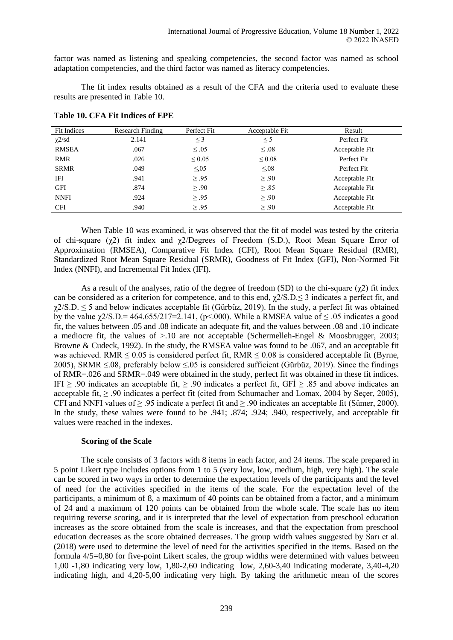factor was named as listening and speaking competencies, the second factor was named as school adaptation competencies, and the third factor was named as literacy competencies.

The fit index results obtained as a result of the CFA and the criteria used to evaluate these results are presented in Table 10.

| Fit Indices  | Research Finding | Perfect Fit | Acceptable Fit | Result         |
|--------------|------------------|-------------|----------------|----------------|
| $\chi$ 2/sd  | 2.141            | $\leq$ 3    | $\leq$ 5       | Perfect Fit    |
| <b>RMSEA</b> | .067             | $\leq .05$  | $\leq .08$     | Acceptable Fit |
| RMR          | .026             | $\leq 0.05$ | $\leq 0.08$    | Perfect Fit    |
| <b>SRMR</b>  | .049             | $\leq 0.05$ | $\leq 0.08$    | Perfect Fit    |
| IFI          | .941             | $\geq .95$  | $\geq .90$     | Acceptable Fit |
| <b>GFI</b>   | .874             | $\geq .90$  | $\geq .85$     | Acceptable Fit |
| <b>NNFI</b>  | .924             | $\geq .95$  | $\geq .90$     | Acceptable Fit |
| <b>CFI</b>   | .940             | $\geq .95$  | $\geq .90$     | Acceptable Fit |

**Table 10. CFA Fit Indices of EPE**

When Table 10 was examined, it was observed that the fit of model was tested by the criteria of chi-square (χ2) fit index and χ2/Degrees of Freedom (S.D.), Root Mean Square Error of Approximation (RMSEA), Comparative Fit Index (CFI), Root Mean Square Residual (RMR), Standardized Root Mean Square Residual (SRMR), Goodness of Fit Index (GFI), Non-Normed Fit Index (NNFI), and Incremental Fit Index (IFI).

As a result of the analyses, ratio of the degree of freedom (SD) to the chi-square ( $\gamma$ 2) fit index can be considered as a criterion for competence, and to this end,  $\chi$ 2/S.D. $\leq$  3 indicates a perfect fit, and  $\gamma$ 2/S.D.  $\leq$  5 and below indicates acceptable fit (Gürbüz, 2019). In the study, a perfect fit was obtained by the value  $\gamma$ 2/S.D.= 464.655/217=2.141, (p<.000). While a RMSEA value of  $\leq$  0.05 indicates a good fit, the values between .05 and .08 indicate an adequate fit, and the values between .08 and .10 indicate a mediocre fit, the values of >.10 are not acceptable (Schermelleh-Engel & Moosbrugger, 2003; Browne & Cudeck, 1992). In the study, the RMSEA value was found to be .067, and an acceptable fit was achieved. RMR  $\leq 0.05$  is considered perfect fit, RMR  $\leq 0.08$  is considered acceptable fit (Byrne, 2005), SRMR ≤.08, preferably below ≤.05 is considered sufficient (Gürbüz, 2019). Since the findings of RMR=.026 and SRMR=.049 were obtained in the study, perfect fit was obtained in these fit indices. IFI  $\geq$  .90 indicates an acceptable fit,  $\geq$  .90 indicates a perfect fit, GFI  $\geq$  .85 and above indicates an acceptable fit,  $\geq$  .90 indicates a perfect fit (cited from Schumacher and Lomax, 2004 by Seçer, 2005), CFI and NNFI values of  $\geq .95$  indicate a perfect fit and  $\geq .90$  indicates an acceptable fit (Sümer, 2000). In the study, these values were found to be .941; .874; .924; .940, respectively, and acceptable fit values were reached in the indexes.

#### **Scoring of the Scale**

The scale consists of 3 factors with 8 items in each factor, and 24 items. The scale prepared in 5 point Likert type includes options from 1 to 5 (very low, low, medium, high, very high). The scale can be scored in two ways in order to determine the expectation levels of the participants and the level of need for the activities specified in the items of the scale. For the expectation level of the participants, a minimum of 8, a maximum of 40 points can be obtained from a factor, and a minimum of 24 and a maximum of 120 points can be obtained from the whole scale. The scale has no item requiring reverse scoring, and it is interpreted that the level of expectation from preschool education increases as the score obtained from the scale is increases, and that the expectation from preschool education decreases as the score obtained decreases. The group width values suggested by Sarı et al. (2018) were used to determine the level of need for the activities specified in the items. Based on the formula 4/5=0,80 for five-point Likert scales, the group widths were determined with values between 1,00 -1,80 indicating very low, 1,80-2,60 indicating low, 2,60-3,40 indicating moderate, 3,40-4,20 indicating high, and 4,20-5,00 indicating very high. By taking the arithmetic mean of the scores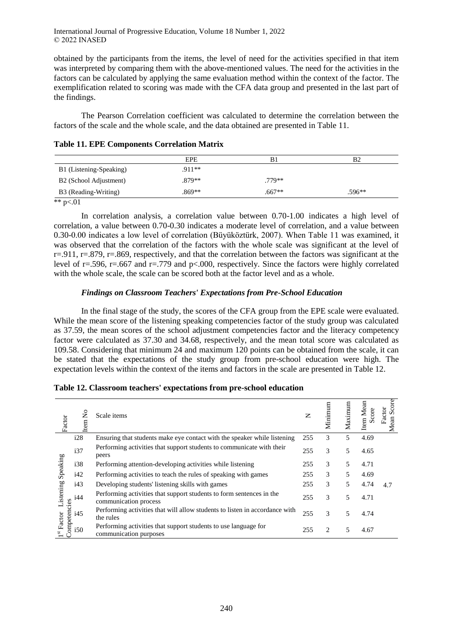obtained by the participants from the items, the level of need for the activities specified in that item was interpreted by comparing them with the above-mentioned values. The need for the activities in the factors can be calculated by applying the same evaluation method within the context of the factor. The exemplification related to scoring was made with the CFA data group and presented in the last part of the findings.

The Pearson Correlation coefficient was calculated to determine the correlation between the factors of the scale and the whole scale, and the data obtained are presented in Table 11.

| Tuble 11, 11 D Components Correlation Matrix |         |  |  |  |  |  |  |
|----------------------------------------------|---------|--|--|--|--|--|--|
|                                              | EPE     |  |  |  |  |  |  |
| B1 (Listening-Speaking)                      | $Q11**$ |  |  |  |  |  |  |

B2 (School Adjustment) .879<sup>\*\*</sup> .779<sup>\*\*</sup>

|  |  |  | <b>Table 11. EPE Components Correlation Matrix</b> |  |  |
|--|--|--|----------------------------------------------------|--|--|
|--|--|--|----------------------------------------------------|--|--|

\*\*  $p<.01$ 

In correlation analysis, a correlation value between 0.70-1.00 indicates a high level of correlation, a value between 0.70-0.30 indicates a moderate level of correlation, and a value between 0.30-0.00 indicates a low level of correlation (Büyüköztürk, 2007). When Table 11 was examined, it was observed that the correlation of the factors with the whole scale was significant at the level of  $r=0.911$ ,  $r=.879$ ,  $r=.869$ , respectively, and that the correlation between the factors was significant at the level of r=.596, r=.667 and r=.779 and p<.000, respectively. Since the factors were highly correlated with the whole scale, the scale can be scored both at the factor level and as a whole.

# *Findings on Classroom Teachers' Expectations from Pre-School Education*

B3 (Reading-Writing) .869<sup>\*\*</sup> .596<sup>\*\*</sup> .596<sup>\*\*</sup> .596<sup>\*\*</sup>

In the final stage of the study, the scores of the CFA group from the EPE scale were evaluated. While the mean score of the listening speaking competencies factor of the study group was calculated as 37.59, the mean scores of the school adjustment competencies factor and the literacy competency factor were calculated as 37.30 and 34.68, respectively, and the mean total score was calculated as 109.58. Considering that minimum 24 and maximum 120 points can be obtained from the scale, it can be stated that the expectations of the study group from pre-school education were high. The expectation levels within the context of the items and factors in the scale are presented in Table 12.

| Factor                            | $\mathsf{S}^{\mathsf{O}}$<br>tem | Scale items                                                                                   | Z   | Minimum                       | Maximum | Item Mean<br>Score | Score<br>Factor<br>Mean |
|-----------------------------------|----------------------------------|-----------------------------------------------------------------------------------------------|-----|-------------------------------|---------|--------------------|-------------------------|
|                                   | i28                              | Ensuring that students make eye contact with the speaker while listening                      | 255 | 3                             | 5       | 4.69               |                         |
|                                   | i37                              | Performing activities that support students to communicate with their<br>peers                | 255 | 3                             | 5       | 4.65               |                         |
| Speaking                          | i38                              | Performing attention-developing activities while listening                                    | 255 | 3                             | 5       | 4.71               |                         |
|                                   | i42                              | Performing activities to teach the rules of speaking with games                               | 255 | 3                             | 5       | 4.69               |                         |
|                                   | i43                              | Developing students' listening skills with games                                              | 255 | 3                             | 5       | 4.74               | 4.7                     |
| Listening                         | i44                              | Performing activities that support students to form sentences in the<br>communication process | 255 | 3                             | 5       | 4.71               |                         |
| <b>Competencies</b>               | i45                              | Performing activities that will allow students to listen in accordance with<br>the rules      | 255 | 3                             | 5       | 4.74               |                         |
| $\mathbf{I}^{\mathrm{st}}$ Factor | i50                              | Performing activities that support students to use language for<br>communication purposes     | 255 | $\mathfrak{D}_{\mathfrak{p}}$ | 5       | 4.67               |                         |

**Table 12. Classroom teachers' expectations from pre-school education**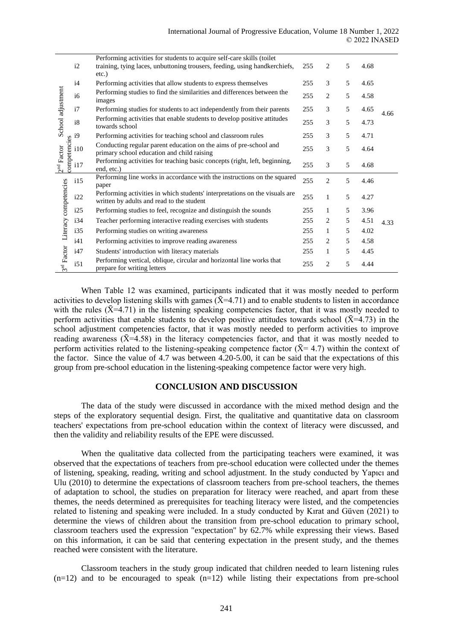|                                                                                                                     | i2                                                                                                                       | Performing activities for students to acquire self-care skills (toilet<br>training, tying laces, unbuttoning trousers, feeding, using handkerchiefs,<br>etc.) | 255 | 2              | 5    | 4.68 |      |
|---------------------------------------------------------------------------------------------------------------------|--------------------------------------------------------------------------------------------------------------------------|---------------------------------------------------------------------------------------------------------------------------------------------------------------|-----|----------------|------|------|------|
| i4<br>School adjustment<br>i6                                                                                       |                                                                                                                          | Performing activities that allow students to express themselves                                                                                               | 255 | 3              | 5    | 4.65 |      |
|                                                                                                                     |                                                                                                                          | Performing studies to find the similarities and differences between the<br>images                                                                             | 255 | 2              | 5    | 4.58 | 4.66 |
|                                                                                                                     | i7                                                                                                                       | Performing studies for students to act independently from their parents                                                                                       | 255 | 3              | 5    | 4.65 |      |
|                                                                                                                     | i8                                                                                                                       | Performing activities that enable students to develop positive attitudes<br>towards school                                                                    | 255 | 3              | 5    | 4.73 |      |
|                                                                                                                     |                                                                                                                          | Performing activities for teaching school and classroom rules                                                                                                 | 255 | 3              | 5    | 4.71 |      |
| $\frac{1}{2}$<br>$\frac{1}{2}$<br>$\frac{1}{2}$<br>$\frac{1}{2}$<br>$\frac{1}{2}$<br>$\frac{1}{2}$<br>$\frac{1}{2}$ | i10                                                                                                                      | Conducting regular parent education on the aims of pre-school and<br>primary school education and child raising                                               | 255 | 3              | 5    | 4.64 |      |
| 2 <sup>nd</sup> Factor                                                                                              | i17                                                                                                                      | Performing activities for teaching basic concepts (right, left, beginning,<br>end, etc.)                                                                      | 255 | 3              | 5    | 4.68 |      |
|                                                                                                                     | i15                                                                                                                      | Performing line works in accordance with the instructions on the squared<br>paper                                                                             | 255 | 2              | 5    | 4.46 |      |
| i22                                                                                                                 | Performing activities in which students' interpretations on the visuals are<br>written by adults and read to the student | 255                                                                                                                                                           | 1   | 5              | 4.27 |      |      |
|                                                                                                                     | i25                                                                                                                      | Performing studies to feel, recognize and distinguish the sounds                                                                                              | 255 | 1              | 5    | 3.96 |      |
| Literacy competencies                                                                                               | i34                                                                                                                      | Teacher performing interactive reading exercises with students                                                                                                | 255 | 2              | 5    | 4.51 | 4.33 |
|                                                                                                                     | i35                                                                                                                      | Performing studies on writing awareness                                                                                                                       | 255 | 1              | 5    | 4.02 |      |
|                                                                                                                     | i41                                                                                                                      | Performing activities to improve reading awareness                                                                                                            | 255 | 2              | 5    | 4.58 |      |
|                                                                                                                     | i47                                                                                                                      | Students' introduction with literacy materials                                                                                                                | 255 | 1              | 5    | 4.45 |      |
| 3 <sup>rd</sup> Factor                                                                                              | i51                                                                                                                      | Performing vertical, oblique, circular and horizontal line works that<br>prepare for writing letters                                                          | 255 | $\overline{c}$ | 5    | 4.44 |      |

When Table 12 was examined, participants indicated that it was mostly needed to perform activities to develop listening skills with games  $(\bar{X} = 4.71)$  and to enable students to listen in accordance with the rules  $({\bar X} = 4.71)$  in the listening speaking competencies factor, that it was mostly needed to perform activities that enable students to develop positive attitudes towards school ( $\bar{X}$ =4.73) in the school adjustment competencies factor, that it was mostly needed to perform activities to improve reading awareness  $(\bar{X}=4.58)$  in the literacy competencies factor, and that it was mostly needed to perform activities related to the listening-speaking competence factor  $({\bar X}$ = 4.7) within the context of the factor. Since the value of 4.7 was between 4.20-5.00, it can be said that the expectations of this group from pre-school education in the listening-speaking competence factor were very high.

# **CONCLUSION AND DISCUSSION**

The data of the study were discussed in accordance with the mixed method design and the steps of the exploratory sequential design. First, the qualitative and quantitative data on classroom teachers' expectations from pre-school education within the context of literacy were discussed, and then the validity and reliability results of the EPE were discussed.

When the qualitative data collected from the participating teachers were examined, it was observed that the expectations of teachers from pre-school education were collected under the themes of listening, speaking, reading, writing and school adjustment. In the study conducted by Yapıcı and Ulu (2010) to determine the expectations of classroom teachers from pre-school teachers, the themes of adaptation to school, the studies on preparation for literacy were reached, and apart from these themes, the needs determined as prerequisites for teaching literacy were listed, and the competencies related to listening and speaking were included. In a study conducted by Kırat and Güven (2021) to determine the views of children about the transition from pre-school education to primary school, classroom teachers used the expression "expectation" by 62.7% while expressing their views. Based on this information, it can be said that centering expectation in the present study, and the themes reached were consistent with the literature.

Classroom teachers in the study group indicated that children needed to learn listening rules  $(n=12)$  and to be encouraged to speak  $(n=12)$  while listing their expectations from pre-school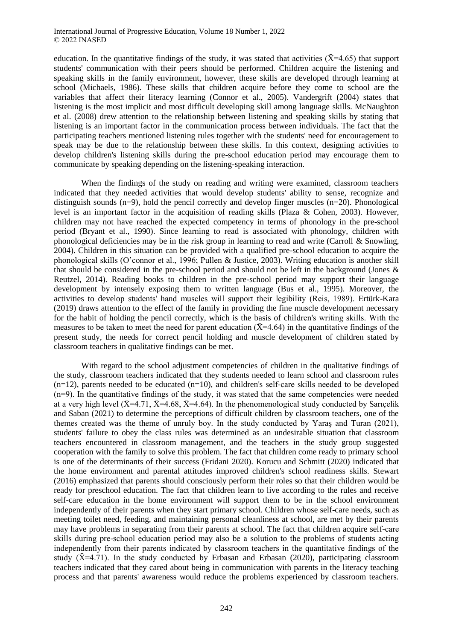education. In the quantitative findings of the study, it was stated that activities ( $\bar{X}$ =4.65) that support students' communication with their peers should be performed. Children acquire the listening and speaking skills in the family environment, however, these skills are developed through learning at school (Michaels, 1986). These skills that children acquire before they come to school are the variables that affect their literacy learning (Connor et al., 2005). Vandergrift (2004) states that listening is the most implicit and most difficult developing skill among language skills. McNaughton et al. (2008) drew attention to the relationship between listening and speaking skills by stating that listening is an important factor in the communication process between individuals. The fact that the participating teachers mentioned listening rules together with the students' need for encouragement to speak may be due to the relationship between these skills. In this context, designing activities to develop children's listening skills during the pre-school education period may encourage them to communicate by speaking depending on the listening-speaking interaction.

When the findings of the study on reading and writing were examined, classroom teachers indicated that they needed activities that would develop students' ability to sense, recognize and distinguish sounds  $(n=9)$ , hold the pencil correctly and develop finger muscles  $(n=20)$ . Phonological level is an important factor in the acquisition of reading skills (Plaza & Cohen, 2003). However, children may not have reached the expected competency in terms of phonology in the pre-school period (Bryant et al., 1990). Since learning to read is associated with phonology, children with phonological deficiencies may be in the risk group in learning to read and write (Carroll & Snowling, 2004). Children in this situation can be provided with a qualified pre-school education to acquire the phonological skills (O'connor et al., 1996; Pullen & Justice, 2003). Writing education is another skill that should be considered in the pre-school period and should not be left in the background (Jones & Reutzel, 2014). Reading books to children in the pre-school period may support their language development by intensely exposing them to written language (Bus et al., 1995). Moreover, the activities to develop students' hand muscles will support their legibility (Reis, 1989). Ertürk-Kara (2019) draws attention to the effect of the family in providing the fine muscle development necessary for the habit of holding the pencil correctly, which is the basis of children's writing skills. With the measures to be taken to meet the need for parent education ( $\bar{X}$ =4.64) in the quantitative findings of the present study, the needs for correct pencil holding and muscle development of children stated by classroom teachers in qualitative findings can be met.

With regard to the school adjustment competencies of children in the qualitative findings of the study, classroom teachers indicated that they students needed to learn school and classroom rules  $(n=12)$ , parents needed to be educated  $(n=10)$ , and children's self-care skills needed to be developed  $(n=9)$ . In the quantitative findings of the study, it was stated that the same competencies were needed at a very high level ( $\bar{X}$ =4.71,  $\bar{X}$ =4.68,  $\bar{X}$ =4.64). In the phenomenological study conducted by Sarıcelik and Saban (2021) to determine the perceptions of difficult children by classroom teachers, one of the themes created was the theme of unruly boy. In the study conducted by Yaraş and Turan (2021), students' failure to obey the class rules was determined as an undesirable situation that classroom teachers encountered in classroom management, and the teachers in the study group suggested cooperation with the family to solve this problem. The fact that children come ready to primary school is one of the determinants of their success (Fridani 2020). Korucu and Schmitt (2020) indicated that the home environment and parental attitudes improved children's school readiness skills. Stewart (2016) emphasized that parents should consciously perform their roles so that their children would be ready for preschool education. The fact that children learn to live according to the rules and receive self-care education in the home environment will support them to be in the school environment independently of their parents when they start primary school. Children whose self-care needs, such as meeting toilet need, feeding, and maintaining personal cleanliness at school, are met by their parents may have problems in separating from their parents at school. The fact that children acquire self-care skills during pre-school education period may also be a solution to the problems of students acting independently from their parents indicated by classroom teachers in the quantitative findings of the study ( $\bar{X}$ =4.71). In the study conducted by Erbasan and Erbasan (2020), participating classroom teachers indicated that they cared about being in communication with parents in the literacy teaching process and that parents' awareness would reduce the problems experienced by classroom teachers.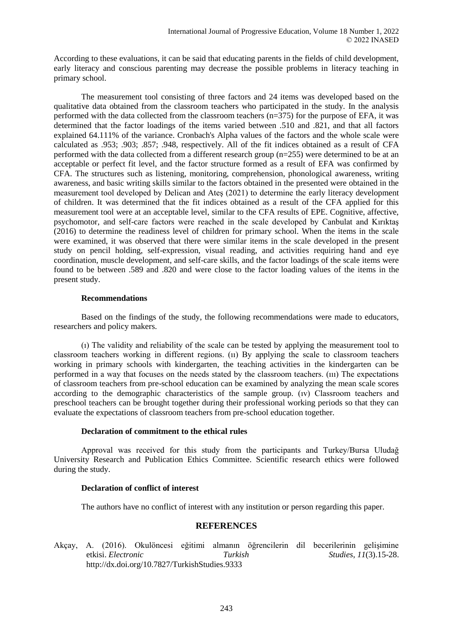According to these evaluations, it can be said that educating parents in the fields of child development, early literacy and conscious parenting may decrease the possible problems in literacy teaching in primary school.

The measurement tool consisting of three factors and 24 items was developed based on the qualitative data obtained from the classroom teachers who participated in the study. In the analysis performed with the data collected from the classroom teachers (n=375) for the purpose of EFA, it was determined that the factor loadings of the items varied between .510 and .821, and that all factors explained 64.111% of the variance. Cronbach's Alpha values of the factors and the whole scale were calculated as .953; .903; .857; .948, respectively. All of the fit indices obtained as a result of CFA performed with the data collected from a different research group (n=255) were determined to be at an acceptable or perfect fit level, and the factor structure formed as a result of EFA was confirmed by CFA. The structures such as listening, monitoring, comprehension, phonological awareness, writing awareness, and basic writing skills similar to the factors obtained in the presented were obtained in the measurement tool developed by Delican and Ateş (2021) to determine the early literacy development of children. It was determined that the fit indices obtained as a result of the CFA applied for this measurement tool were at an acceptable level, similar to the CFA results of EPE. Cognitive, affective, psychomotor, and self-care factors were reached in the scale developed by Canbulat and Kırıktaş (2016) to determine the readiness level of children for primary school. When the items in the scale were examined, it was observed that there were similar items in the scale developed in the present study on pencil holding, self-expression, visual reading, and activities requiring hand and eye coordination, muscle development, and self-care skills, and the factor loadings of the scale items were found to be between .589 and .820 and were close to the factor loading values of the items in the present study.

#### **Recommendations**

Based on the findings of the study, the following recommendations were made to educators, researchers and policy makers.

(ı) The validity and reliability of the scale can be tested by applying the measurement tool to classroom teachers working in different regions. (ıı) By applying the scale to classroom teachers working in primary schools with kindergarten, the teaching activities in the kindergarten can be performed in a way that focuses on the needs stated by the classroom teachers. (ııı) The expectations of classroom teachers from pre-school education can be examined by analyzing the mean scale scores according to the demographic characteristics of the sample group. (ıv) Classroom teachers and preschool teachers can be brought together during their professional working periods so that they can evaluate the expectations of classroom teachers from pre-school education together.

#### **Declaration of commitment to the ethical rules**

Approval was received for this study from the participants and Turkey/Bursa Uludağ University Research and Publication Ethics Committee. Scientific research ethics were followed during the study.

#### **Declaration of conflict of interest**

The authors have no conflict of interest with any institution or person regarding this paper.

# **REFERENCES**

Akçay, A. (2016). Okulöncesi eğitimi almanın öğrencilerin dil becerilerinin gelişimine etkisi. *Electronic Turkish Studies*, *11*(3).15-28. http://dx.doi.org/10.7827/TurkishStudies.9333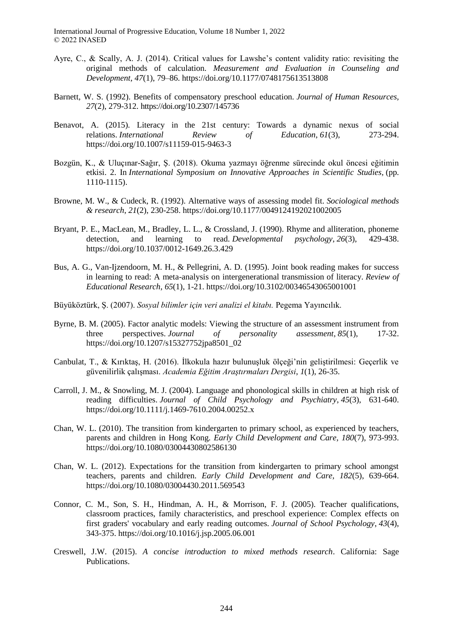- Ayre, C., & Scally, A. J. (2014). Critical values for Lawshe's content validity ratio: revisiting the original methods of calculation. *Measurement and Evaluation in Counseling and Development, 47*(1), 79–86. https://doi.org/10.1177/0748175613513808
- Barnett, W. S. (1992). Benefits of compensatory preschool education. *Journal of Human Resources, 27*(2), 279-312. https://doi.org/10.2307/145736
- Benavot, A. (2015). Literacy in the 21st century: Towards a dynamic nexus of social relations. *International Review of Education*, *61*(3), 273-294. https://doi.org/10.1007/s11159-015-9463-3
- Bozgün, K., & Uluçınar-Sağır, Ş. (2018). Okuma yazmayı öğrenme sürecinde okul öncesi eğitimin etkisi. 2. In *International Symposium on Innovative Approaches in Scientific Studies,* (pp. 1110-1115).
- Browne, M. W., & Cudeck, R. (1992). Alternative ways of assessing model fit. *Sociological methods & research*, *21*(2), 230-258. https://doi.org/10.1177/0049124192021002005
- Bryant, P. E., MacLean, M., Bradley, L. L., & Crossland, J. (1990). Rhyme and alliteration, phoneme detection, and learning to read. *Developmental psychology*, *26*(3), 429-438. https://doi.org/10.1037/0012-1649.26.3.429
- Bus, A. G., Van-Ijzendoorn, M. H., & Pellegrini, A. D. (1995). Joint book reading makes for success in learning to read: A meta-analysis on intergenerational transmission of literacy. *Review of Educational Research*, *65*(1), 1-21. https://doi.org/10.3102/00346543065001001
- Büyüköztürk, Ş. (2007). *Sosyal bilimler için veri analizi el kitabı.* Pegema Yayıncılık.
- Byrne, B. M. (2005). Factor analytic models: Viewing the structure of an assessment instrument from three perspectives. *Journal of personality assessment*, *85*(1), 17-32. https://doi.org/10.1207/s15327752jpa8501\_02
- Canbulat, T., & Kırıktaş, H. (2016). İlkokula hazır bulunuşluk ölçeği'nin geliştirilmesi: Geçerlik ve güvenilirlik çalışması. *Academia Eğitim Araştırmaları Dergisi*, *1*(1), 26-35.
- Carroll, J. M., & Snowling, M. J. (2004). Language and phonological skills in children at high risk of reading difficulties. *Journal of Child Psychology and Psychiatry*, *45*(3), 631-640. https://doi.org/10.1111/j.1469-7610.2004.00252.x
- Chan, W. L. (2010). The transition from kindergarten to primary school, as experienced by teachers, parents and children in Hong Kong. *Early Child Development and Care, 180*(7), 973-993. https://doi.org/10.1080/03004430802586130
- Chan, W. L. (2012). Expectations for the transition from kindergarten to primary school amongst teachers, parents and children. *Early Child Development and Care, 182*(5), 639-664. https://doi.org/10.1080/03004430.2011.569543
- Connor, C. M., Son, S. H., Hindman, A. H., & Morrison, F. J. (2005). Teacher qualifications, classroom practices, family characteristics, and preschool experience: Complex effects on first graders' vocabulary and early reading outcomes. *Journal of School Psychology*, *43*(4), 343-375. https://doi.org/10.1016/j.jsp.2005.06.001
- Creswell, J.W. (2015). *A concise introduction to mixed methods research*. California: Sage Publications.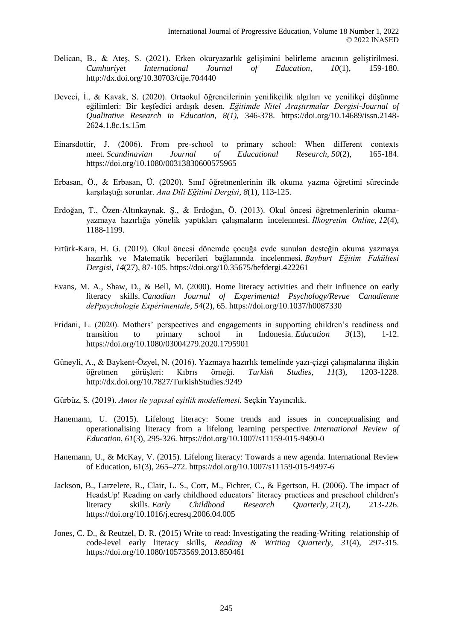- Delican, B., & Ateş, S. (2021). Erken okuryazarlık gelişimini belirleme aracının geliştirilmesi. *Cumhuriyet International Journal of Education*, *10*(1), 159-180. http://dx.doi.org/10.30703/cije.704440
- Deveci, İ., & Kavak, S. (2020). Ortaokul öğrencilerinin yenilikçilik algıları ve yenilikçi düşünme eğilimleri: Bir keşfedici ardışık desen. *Eğitimde Nitel Araştırmalar Dergisi-Journal of Qualitative Research in Education, 8(1),* 346-378. https://doi.org/10.14689/issn.2148- 2624.1.8c.1s.15m
- Einarsdottir, J. (2006). From pre‐school to primary school: When different contexts meet. *Scandinavian Journal of Educational Research*, *50*(2), 165-184. https://doi.org/10.1080/00313830600575965
- Erbasan, Ö., & Erbasan, Ü. (2020). Sınıf öğretmenlerinin ilk okuma yazma öğretimi sürecinde karşılaştığı sorunlar. *Ana Dili Eğitimi Dergisi*, *8*(1), 113-125.
- Erdoğan, T., Özen-Altınkaynak, Ş., & Erdoğan, Ö. (2013). Okul öncesi öğretmenlerinin okumayazmaya hazırlığa yönelik yaptıkları çalışmaların incelenmesi. *İlkogretim Online*, *12*(4), 1188-1199.
- Ertürk-Kara, H. G. (2019). Okul öncesi dönemde çocuğa evde sunulan desteğin okuma yazmaya hazırlık ve Matematik becerileri bağlamında incelenmesi. *Bayburt Eğitim Fakültesi Dergisi*, *14*(27), 87-105. https://doi.org/10.35675/befdergi.422261
- Evans, M. A., Shaw, D., & Bell, M. (2000). Home literacy activities and their influence on early literacy skills. *Canadian Journal of Experimental Psychology/Revue Canadienne dePpsychologie Expérimentale*, *54*(2), 65. https://doi.org/10.1037/h0087330
- Fridani, L. (2020). Mothers' perspectives and engagements in supporting children's readiness and transition to primary school in Indonesia. *Education 3*(13), 1-12. https://doi.org/10.1080/03004279.2020.1795901
- Güneyli, A., & Baykent-Özyel, N. (2016). Yazmaya hazırlık temelinde yazı-çizgi çalışmalarına ilişkin öğretmen görüşleri: Kıbrıs örneği. *Turkish Studies, 11*(3), 1203-1228. http://dx.doi.org/10.7827/TurkishStudies.9249
- Gürbüz, S. (2019). *Amos ile yapısal eşitlik modellemesi.* Seçkin Yayıncılık.
- Hanemann, U. (2015). Lifelong literacy: Some trends and issues in conceptualising and operationalising literacy from a lifelong learning perspective. *International Review of Education*, *61*(3), 295-326. https://doi.org/10.1007/s11159-015-9490-0
- Hanemann, U., & McKay, V. (2015). Lifelong literacy: Towards a new agenda. International Review of Education, 61(3), 265–272. https://doi.org/10.1007/s11159-015-9497-6
- Jackson, B., Larzelere, R., Clair, L. S., Corr, M., Fichter, C., & Egertson, H. (2006). The impact of HeadsUp! Reading on early childhood educators' literacy practices and preschool children's literacy skills. *Early Childhood Research Quarterly*, *21*(2), 213-226. https://doi.org/10.1016/j.ecresq.2006.04.005
- Jones, C. D., & Reutzel, D. R. (2015) Write to read: Investigating the reading-Writing relationship of code-level early literacy skills, *Reading & Writing Quarterly*, *31*(4), 297-315. https://doi.org/10.1080/10573569.2013.850461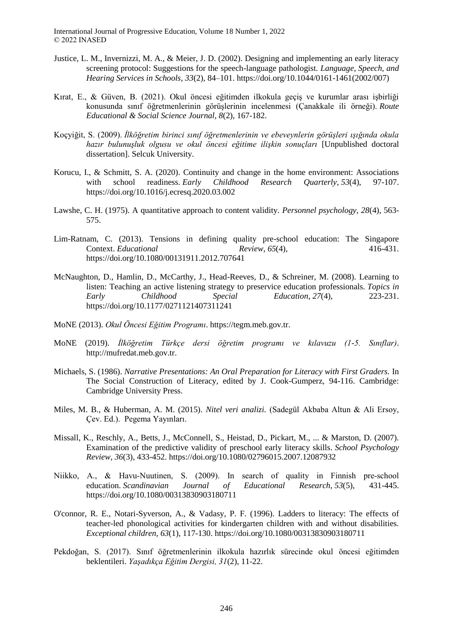- Justice, L. M., Invernizzi, M. A., & Meier, J. D. (2002). Designing and implementing an early literacy screening protocol: Suggestions for the speech-language pathologist. *Language, Speech, and Hearing Services in Schools, 33*(2), 84–101. https://doi.org/10.1044/0161-1461(2002/007)
- Kırat, E., & Güven, B. (2021). Okul öncesi eğitimden ilkokula geçiş ve kurumlar arası işbirliği konusunda sınıf öğretmenlerinin görüşlerinin incelenmesi (Çanakkale ili örneği). *Route Educational & Social Science Journal, 8*(2), 167-182.
- Koçyiğit, S. (2009). *İlköğretim birinci sınıf öğretmenlerinin ve ebeveynlerin görüşleri ışığında okula hazır bulunuşluk olgusu ve okul öncesi eğitime ilişkin sonuçları* [Unpublished doctoral dissertation]. Selcuk University.
- Korucu, I., & Schmitt, S. A. (2020). Continuity and change in the home environment: Associations with school readiness. *Early Childhood Research Quarterly*, *53*(4), 97-107. https://doi.org/10.1016/j.ecresq.2020.03.002
- Lawshe, C. H. (1975). A quantitative approach to content validity. *Personnel psychology, 28*(4), 563- 575.
- Lim-Ratnam, C. (2013). Tensions in defining quality pre-school education: The Singapore Context. *Educational Review*, *65*(4), 416-431. https://doi.org/10.1080/00131911.2012.707641
- McNaughton, D., Hamlin, D., McCarthy, J., Head-Reeves, D., & Schreiner, M. (2008). Learning to listen: Teaching an active listening strategy to preservice education professionals. *Topics in Early Childhood Special Education*, *27*(4), 223-231. https://doi.org/10.1177/0271121407311241
- MoNE (2013). *Okul Öncesi Eğitim Programı*. https://tegm.meb.gov.tr.
- MoNE (2019). *İlköğretim Türkçe dersi öğretim programı ve kılavuzu (1-5. Sınıflar)*. http://mufredat.meb.gov.tr.
- Michaels, S. (1986). *Narrative Presentations: An Oral Preparation for Literacy with First Graders.* In The Social Construction of Literacy*,* edited by J. Cook-Gumperz, 94-116. Cambridge: Cambridge University Press.
- Miles, M. B., & Huberman, A. M. (2015). *Nitel veri analizi.* (Sadegül Akbaba Altun & Ali Ersoy, Çev. Ed.). Pegema Yayınları.
- Missall, K., Reschly, A., Betts, J., McConnell, S., Heistad, D., Pickart, M., ... & Marston, D. (2007). Examination of the predictive validity of preschool early literacy skills. *School Psychology Review*, *36*(3), 433-452. https://doi.org/10.1080/02796015.2007.12087932
- Niikko, A., & Havu‐Nuutinen, S. (2009). In search of quality in Finnish pre‐school education. *Scandinavian Journal of Educational Research*, *53*(5), 431-445. https://doi.org/10.1080/00313830903180711
- O'connor, R. E., Notari-Syverson, A., & Vadasy, P. F. (1996). Ladders to literacy: The effects of teacher-led phonological activities for kindergarten children with and without disabilities. *Exceptional children, 63*(1), 117-130. https://doi.org/10.1080/00313830903180711
- Pekdoğan, S. (2017). Sınıf öğretmenlerinin ilkokula hazırlık sürecinde okul öncesi eğitimden beklentileri. *Yaşadıkça Eğitim Dergisi, 31*(2), 11-22.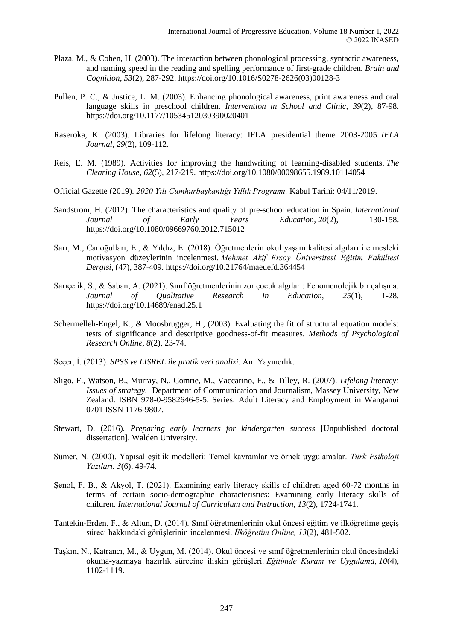- Plaza, M., & Cohen, H. (2003). The interaction between phonological processing, syntactic awareness, and naming speed in the reading and spelling performance of first-grade children. *Brain and Cognition*, *53*(2), 287-292. https://doi.org/10.1016/S0278-2626(03)00128-3
- Pullen, P. C., & Justice, L. M. (2003). Enhancing phonological awareness, print awareness and oral language skills in preschool children. *Intervention in School and Clinic, 39*(2), 87-98. https://doi.org/10.1177/10534512030390020401
- Raseroka, K. (2003). Libraries for lifelong literacy: IFLA presidential theme 2003-2005. *IFLA Journal*, *29*(2), 109-112.
- Reis, E. M. (1989). Activities for improving the handwriting of learning-disabled students. *The Clearing House*, *62*(5), 217-219. https://doi.org/10.1080/00098655.1989.10114054
- Official Gazette (2019). *2020 Yılı Cumhurbaşkanlığı Yıllık Programı.* Kabul Tarihi: 04/11/2019.
- Sandstrom, H. (2012). The characteristics and quality of pre-school education in Spain. *International Journal of Early Years Education*, *20*(2), 130-158. https://doi.org/10.1080/09669760.2012.715012
- Sarı, M., Canoğulları, E., & Yıldız, E. (2018). Öğretmenlerin okul yaşam kalitesi algıları ile mesleki motivasyon düzeylerinin incelenmesi. *Mehmet Akif Ersoy Üniversitesi Eğitim Fakültesi Dergisi*, (47), 387-409. https://doi.org/10.21764/maeuefd.364454
- Sarıçelik, S., & Saban, A. (2021). Sınıf öğretmenlerinin zor çocuk algıları: Fenomenolojik bir çalışma. *Journal of Qualitative Research in Education, 25*(1), 1-28. https://doi.org/10.14689/enad.25.1
- Schermelleh-Engel, K., & Moosbrugger, H., (2003). Evaluating the fit of structural equation models: tests of significance and descriptive goodness-of-fit measures. *Methods of Psychological Research Online, 8*(2), 23-74.
- Seçer, İ. (2013). *SPSS ve LISREL ile pratik veri analizi.* Anı Yayıncılık.
- Sligo, F., Watson, B., Murray, N., Comrie, M., Vaccarino, F., & Tilley, R. (2007). *Lifelong literacy: Issues of strategy.* Department of Communication and Journalism, Massey University, New Zealand. ISBN 978-0-9582646-5-5. Series: Adult Literacy and Employment in Wanganui 0701 ISSN 1176-9807.
- Stewart, D. (2016). *Preparing early learners for kindergarten success* [Unpublished doctoral dissertation]. Walden University.
- Sümer, N. (2000). Yapısal eşitlik modelleri: Temel kavramlar ve örnek uygulamalar. *Türk Psikoloji Yazıları. 3*(6), 49-74.
- Şenol, F. B., & Akyol, T. (2021). Examining early literacy skills of children aged 60-72 months in terms of certain socio-demographic characteristics: Examining early literacy skills of children. *International Journal of Curriculum and Instruction*, *13*(2), 1724-1741.
- Tantekin-Erden, F., & Altun, D. (2014). Sınıf öğretmenlerinin okul öncesi eğitim ve ilköğretime geçiş süreci hakkındaki görüşlerinin incelenmesi. *İlköğretim Online, 13*(2), 481-502.
- Taşkın, N., Katrancı, M., & Uygun, M. (2014). Okul öncesi ve sınıf öğretmenlerinin okul öncesindeki okuma-yazmaya hazırlık sürecine ilişkin görüşleri. *Eğitimde Kuram ve Uygulama*, *10*(4), 1102-1119.